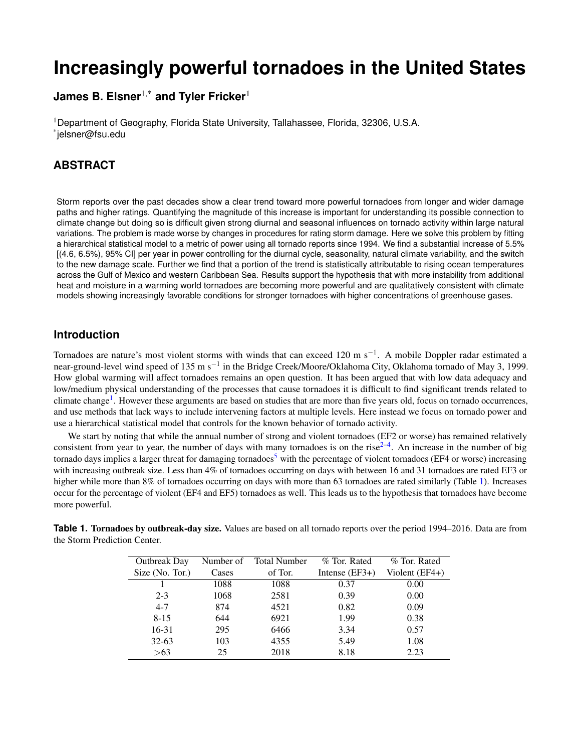# **Increasingly powerful tornadoes in the United States**

**James B. Elsner**1,\* **and Tyler Fricker**<sup>1</sup>

<sup>1</sup>Department of Geography, Florida State University, Tallahassee, Florida, 32306, U.S.A. \* jelsner@fsu.edu

# **ABSTRACT**

Storm reports over the past decades show a clear trend toward more powerful tornadoes from longer and wider damage paths and higher ratings. Quantifying the magnitude of this increase is important for understanding its possible connection to climate change but doing so is difficult given strong diurnal and seasonal influences on tornado activity within large natural variations. The problem is made worse by changes in procedures for rating storm damage. Here we solve this problem by fitting a hierarchical statistical model to a metric of power using all tornado reports since 1994. We find a substantial increase of 5.5% [(4.6, 6.5%), 95% CI] per year in power controlling for the diurnal cycle, seasonality, natural climate variability, and the switch to the new damage scale. Further we find that a portion of the trend is statistically attributable to rising ocean temperatures across the Gulf of Mexico and western Caribbean Sea. Results support the hypothesis that with more instability from additional heat and moisture in a warming world tornadoes are becoming more powerful and are qualitatively consistent with climate models showing increasingly favorable conditions for stronger tornadoes with higher concentrations of greenhouse gases.

# **Introduction**

Tornadoes are nature's most violent storms with winds that can exceed 120 m s<sup>-1</sup>. A mobile Doppler radar estimated a near-ground-level wind speed of 135 m s<sup>−1</sup> in the Bridge Creek/Moore/Oklahoma City, Oklahoma tornado of May 3, 1999. How global warming will affect tornadoes remains an open question. It has been argued that with low data adequacy and low/medium physical understanding of the processes that cause tornadoes it is difficult to find significant trends related to climate change<sup>[1](#page-4-0)</sup>. However these arguments are based on studies that are more than five years old, focus on tornado occurrences, and use methods that lack ways to include intervening factors at multiple levels. Here instead we focus on tornado power and use a hierarchical statistical model that controls for the known behavior of tornado activity.

We start by noting that while the annual number of strong and violent tornadoes (EF2 or worse) has remained relatively consistent from year to year, the number of days with many tornadoes is on the rise $2-4$  $2-4$ . An increase in the number of big tornado days implies a larger threat for damaging tornadoes<sup>[5](#page-4-3)</sup> with the percentage of violent tornadoes (EF4 or worse) increasing with increasing outbreak size. Less than 4% of tornadoes occurring on days with between 16 and 31 tornadoes are rated EF3 or higher while more than 8% of tornadoes occurring on days with more than 63 tornadoes are rated similarly (Table [1\)](#page-0-0). Increases occur for the percentage of violent (EF4 and EF5) tornadoes as well. This leads us to the hypothesis that tornadoes have become more powerful.

| <b>Outbreak Day</b> | Number of | <b>Total Number</b> | % Tor. Rated     | % Tor. Rated     |
|---------------------|-----------|---------------------|------------------|------------------|
| Size (No. Tor.)     | Cases     | of Tor.             | Intense $(EF3+)$ | Violent $(EF4+)$ |
|                     | 1088      | 1088                | 0.37             | 0.00             |
| $2 - 3$             | 1068      | 2581                | 0.39             | 0.00             |
| $4 - 7$             | 874       | 4521                | 0.82             | 0.09             |
| $8 - 15$            | 644       | 6921                | 1.99             | 0.38             |
| $16-31$             | 295       | 6466                | 3.34             | 0.57             |
| $32 - 63$           | 103       | 4355                | 5.49             | 1.08             |
| >63                 | 25        | 2018                | 8.18             | 2.23             |

<span id="page-0-0"></span>**Table 1. Tornadoes by outbreak-day size.** Values are based on all tornado reports over the period 1994–2016. Data are from the Storm Prediction Center.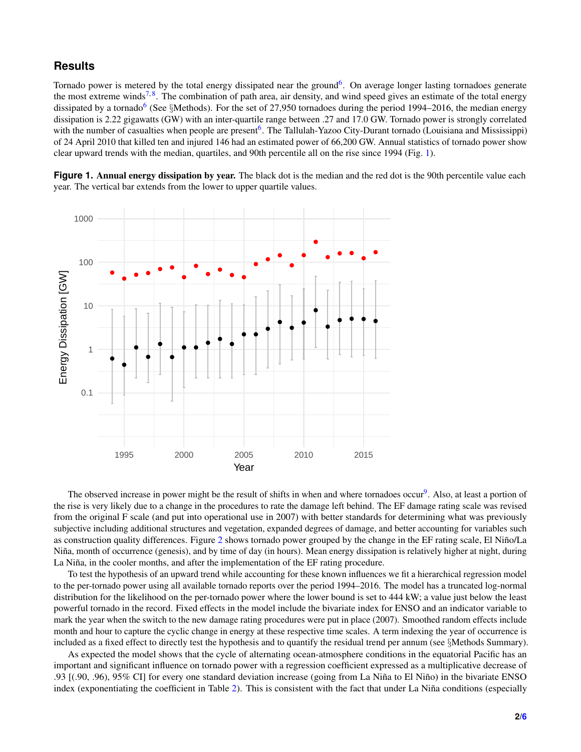## **Results**

Tornado power is metered by the total energy dissipated near the ground<sup>[6](#page-5-0)</sup>. On average longer lasting tornadoes generate the most extreme winds<sup>[7,](#page-5-1)[8](#page-5-2)</sup>. The combination of path area, air density, and wind speed gives an estimate of the total energy dissipated by a tornado<sup>[6](#page-5-0)</sup> (See §Methods). For the set of 27,950 tornadoes during the period 1994–2016, the median energy dissipation is 2.22 gigawatts (GW) with an inter-quartile range between .27 and 17.0 GW. Tornado power is strongly correlated with the number of casualties when people are present<sup>[6](#page-5-0)</sup>. The Tallulah-Yazoo City-Durant tornado (Louisiana and Mississippi) of 24 April 2010 that killed ten and injured 146 had an estimated power of 66,200 GW. Annual statistics of tornado power show clear upward trends with the median, quartiles, and 90th percentile all on the rise since 1994 (Fig. [1\)](#page-1-0).

<span id="page-1-0"></span>**Figure 1. Annual energy dissipation by year.** The black dot is the median and the red dot is the 90th percentile value each year. The vertical bar extends from the lower to upper quartile values.



The observed increase in power might be the result of shifts in when and where tornadoes occur<sup>[9](#page-5-3)</sup>. Also, at least a portion of the rise is very likely due to a change in the procedures to rate the damage left behind. The EF damage rating scale was revised from the original F scale (and put into operational use in 2007) with better standards for determining what was previously subjective including additional structures and vegetation, expanded degrees of damage, and better accounting for variables such as construction quality differences. Figure [2](#page-2-0) shows tornado power grouped by the change in the EF rating scale, El Niño/La Niña, month of occurrence (genesis), and by time of day (in hours). Mean energy dissipation is relatively higher at night, during La Niña, in the cooler months, and after the implementation of the EF rating procedure.

To test the hypothesis of an upward trend while accounting for these known influences we fit a hierarchical regression model to the per-tornado power using all available tornado reports over the period 1994–2016. The model has a truncated log-normal distribution for the likelihood on the per-tornado power where the lower bound is set to 444 kW; a value just below the least powerful tornado in the record. Fixed effects in the model include the bivariate index for ENSO and an indicator variable to mark the year when the switch to the new damage rating procedures were put in place (2007). Smoothed random effects include month and hour to capture the cyclic change in energy at these respective time scales. A term indexing the year of occurrence is included as a fixed effect to directly test the hypothesis and to quantify the residual trend per annum (see §Methods Summary).

As expected the model shows that the cycle of alternating ocean-atmosphere conditions in the equatorial Pacific has an important and significant influence on tornado power with a regression coefficient expressed as a multiplicative decrease of .93 [(.90, .96), 95% CI] for every one standard deviation increase (going from La Niña to El Niño) in the bivariate ENSO index (exponentiating the coefficient in Table [2\)](#page-2-1). This is consistent with the fact that under La Niña conditions (especially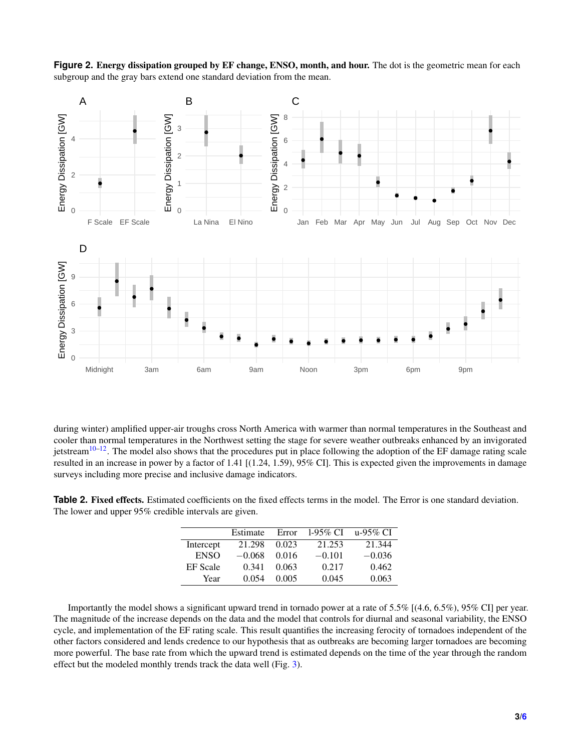<span id="page-2-0"></span>



during winter) amplified upper-air troughs cross North America with warmer than normal temperatures in the Southeast and cooler than normal temperatures in the Northwest setting the stage for severe weather outbreaks enhanced by an invigorated jetstream<sup>[10](#page-5-5)[–12](#page-5-6)</sup>. The model also shows that the procedures put in place following the adoption of the EF damage rating scale resulted in an increase in power by a factor of 1.41 [(1.24, 1.59), 95% CI]. This is expected given the improvements in damage surveys including more precise and inclusive damage indicators.

<span id="page-2-1"></span>**Table 2. Fixed effects.** Estimated coefficients on the fixed effects terms in the model. The Error is one standard deviation. The lower and upper 95% credible intervals are given.

|                 | Estimate | Error | $1-95\%$ CI | u-95% CI |
|-----------------|----------|-------|-------------|----------|
| Intercept       | 21.298   | 0.023 | 21.253      | 21.344   |
| <b>ENSO</b>     | $-0.068$ | 0.016 | $-0.101$    | $-0.036$ |
| <b>EF</b> Scale | 0.341    | 0.063 | 0.217       | 0.462    |
| Year            | 0.054    | 0.005 | 0.045       | 0.063    |
|                 |          |       |             |          |

Importantly the model shows a significant upward trend in tornado power at a rate of 5.5% [(4.6, 6.5%), 95% CI] per year. The magnitude of the increase depends on the data and the model that controls for diurnal and seasonal variability, the ENSO cycle, and implementation of the EF rating scale. This result quantifies the increasing ferocity of tornadoes independent of the other factors considered and lends credence to our hypothesis that as outbreaks are becoming larger tornadoes are becoming more powerful. The base rate from which the upward trend is estimated depends on the time of the year through the random effect but the modeled monthly trends track the data well (Fig. [3\)](#page-3-0).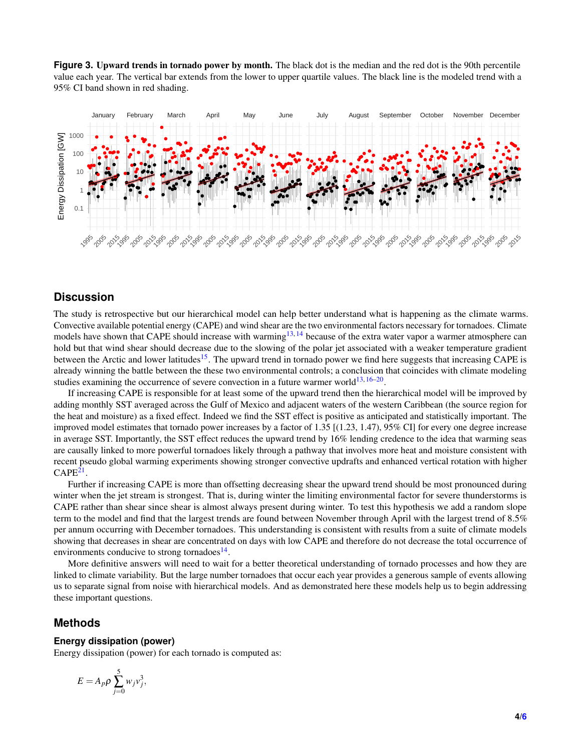<span id="page-3-0"></span>**Figure 3.** Upward trends in tornado power by month. The black dot is the median and the red dot is the 90th percentile value each year. The vertical bar extends from the lower to upper quartile values. The black line is the modeled trend with a 95% CI band shown in red shading.



# **Discussion**

The study is retrospective but our hierarchical model can help better understand what is happening as the climate warms. Convective available potential energy (CAPE) and wind shear are the two environmental factors necessary for tornadoes. Climate models have shown that CAPE should increase with warming<sup>[13,](#page-5-7) [14](#page-5-8)</sup> because of the extra water vapor a warmer atmosphere can hold but that wind shear should decrease due to the slowing of the polar jet associated with a weaker temperature gradient between the Arctic and lower latitudes<sup>[15](#page-5-9)</sup>. The upward trend in tornado power we find here suggests that increasing CAPE is already winning the battle between the these two environmental controls; a conclusion that coincides with climate modeling studies examining the occurrence of severe convection in a future warmer world $^{13, 16-20}$  $^{13, 16-20}$  $^{13, 16-20}$  $^{13, 16-20}$  $^{13, 16-20}$ .

If increasing CAPE is responsible for at least some of the upward trend then the hierarchical model will be improved by adding monthly SST averaged across the Gulf of Mexico and adjacent waters of the western Caribbean (the source region for the heat and moisture) as a fixed effect. Indeed we find the SST effect is positive as anticipated and statistically important. The improved model estimates that tornado power increases by a factor of 1.35 [(1.23, 1.47), 95% CI] for every one degree increase in average SST. Importantly, the SST effect reduces the upward trend by 16% lending credence to the idea that warming seas are causally linked to more powerful tornadoes likely through a pathway that involves more heat and moisture consistent with recent pseudo global warming experiments showing stronger convective updrafts and enhanced vertical rotation with higher  $\mathrm{CAPE^{21}}$  $\mathrm{CAPE^{21}}$  $\mathrm{CAPE^{21}}$ .

Further if increasing CAPE is more than offsetting decreasing shear the upward trend should be most pronounced during winter when the jet stream is strongest. That is, during winter the limiting environmental factor for severe thunderstorms is CAPE rather than shear since shear is almost always present during winter. To test this hypothesis we add a random slope term to the model and find that the largest trends are found between November through April with the largest trend of 8.5% per annum occurring with December tornadoes. This understanding is consistent with results from a suite of climate models showing that decreases in shear are concentrated on days with low CAPE and therefore do not decrease the total occurrence of environments conducive to strong tornadoes $^{14}$  $^{14}$  $^{14}$ .

More definitive answers will need to wait for a better theoretical understanding of tornado processes and how they are linked to climate variability. But the large number tornadoes that occur each year provides a generous sample of events allowing us to separate signal from noise with hierarchical models. And as demonstrated here these models help us to begin addressing these important questions.

### **Methods**

#### **Energy dissipation (power)**

Energy dissipation (power) for each tornado is computed as:

$$
E=A_p\rho\sum_{j=0}^5 w_jv_j^3,
$$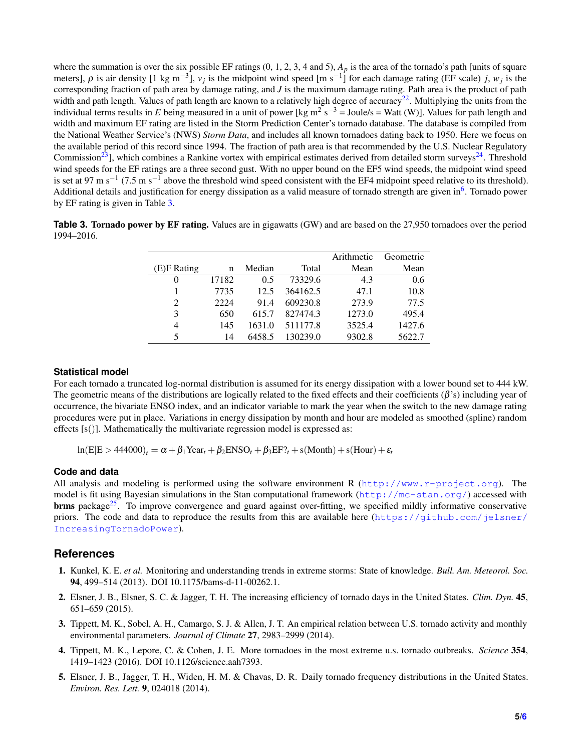where the summation is over the six possible EF ratings  $(0, 1, 2, 3, 4 \text{ and } 5)$ ,  $A_p$  is the area of the tornado's path [units of square meters],  $\rho$  is air density [1 kg m<sup>-3</sup>],  $v_j$  is the midpoint wind speed [m s<sup>-1</sup>] for each damage rating (EF scale) *j*,  $w_j$  is the corresponding fraction of path area by damage rating, and *J* is the maximum damage rating. Path area is the product of path width and path length. Values of path length are known to a relatively high degree of accuracy<sup>[22](#page-5-13)</sup>. Multiplying the units from the individual terms results in E being measured in a unit of power [kg m<sup>2</sup> s<sup>-3</sup> = Joule/s = Watt (W)]. Values for path length and width and maximum EF rating are listed in the Storm Prediction Center's tornado database. The database is compiled from the National Weather Service's (NWS) *Storm Data*, and includes all known tornadoes dating back to 1950. Here we focus on the available period of this record since 1994. The fraction of path area is that recommended by the U.S. Nuclear Regulatory Commission<sup>[23](#page-5-14)</sup>, which combines a Rankine vortex with empirical estimates derived from detailed storm surveys<sup>[24](#page-5-15)</sup>. Threshold wind speeds for the EF ratings are a three second gust. With no upper bound on the EF5 wind speeds, the midpoint wind speed is set at 97 m s<sup>-1</sup> (7.5 m s<sup>-1</sup> above the threshold wind speed consistent with the EF4 midpoint speed relative to its threshold). Additional details and justification for energy dissipation as a valid measure of tornado strength are given in<sup>[6](#page-5-0)</sup>. Tornado power by EF rating is given in Table [3.](#page-4-4)

<span id="page-4-4"></span>**Table 3. Tornado power by EF rating.** Values are in gigawatts (GW) and are based on the 27,950 tornadoes over the period 1994–2016.

|                |       |        |          | Arithmetic | Geometric |
|----------------|-------|--------|----------|------------|-----------|
| (E)F Rating    | n     | Median | Total    | Mean       | Mean      |
| $\theta$       | 17182 | 0.5    | 73329.6  | 4.3        | 0.6       |
|                | 7735  | 12.5   | 364162.5 | 47.1       | 10.8      |
| $\overline{2}$ | 2224  | 91.4   | 609230.8 | 273.9      | 77.5      |
| 3              | 650   | 615.7  | 827474.3 | 1273.0     | 495.4     |
| $\overline{4}$ | 145   | 1631.0 | 511177.8 | 3525.4     | 1427.6    |
| 5              | 14    | 6458.5 | 130239.0 | 9302.8     | 5622.7    |

#### **Statistical model**

For each tornado a truncated log-normal distribution is assumed for its energy dissipation with a lower bound set to 444 kW. The geometric means of the distributions are logically related to the fixed effects and their coefficients  $(\beta')$  including year of occurrence, the bivariate ENSO index, and an indicator variable to mark the year when the switch to the new damage rating procedures were put in place. Variations in energy dissipation by month and hour are modeled as smoothed (spline) random effects  $[s()]$ . Mathematically the multivariate regression model is expressed as:

 $ln(E|E > 444000)$ <sub>t</sub> =  $\alpha + \beta_1$ Year<sub>t</sub> +  $\beta_2$ ENSO<sub>t</sub> +  $\beta_3$ EF?<sub>t</sub> + s(Month) + s(Hour) +  $\varepsilon_t$ 

#### **Code and data**

All analysis and modeling is performed using the software environment R  $(htttp://www.r-project.org)$ . The model is fit using Bayesian simulations in the Stan computational framework (<http://mc-stan.org/>) accessed with **brms** package<sup>[25](#page-5-16)</sup>. To improve convergence and guard against over-fitting, we specified mildly informative conservative priors. The code and data to reproduce the results from this are available here ([https://github.com/jelsner/](https://github.com/jelsner/IncreasingTornadoPower) [IncreasingTornadoPower](https://github.com/jelsner/IncreasingTornadoPower)).

#### **References**

- <span id="page-4-0"></span>1. Kunkel, K. E. *et al.* Monitoring and understanding trends in extreme storms: State of knowledge. *Bull. Am. Meteorol. Soc.* 94, 499–514 (2013). DOI 10.1175/bams-d-11-00262.1.
- <span id="page-4-1"></span>2. Elsner, J. B., Elsner, S. C. & Jagger, T. H. The increasing efficiency of tornado days in the United States. *Clim. Dyn.* 45, 651–659 (2015).
- 3. Tippett, M. K., Sobel, A. H., Camargo, S. J. & Allen, J. T. An empirical relation between U.S. tornado activity and monthly environmental parameters. *Journal of Climate* 27, 2983–2999 (2014).
- <span id="page-4-2"></span>4. Tippett, M. K., Lepore, C. & Cohen, J. E. More tornadoes in the most extreme u.s. tornado outbreaks. *Science* 354, 1419–1423 (2016). DOI 10.1126/science.aah7393.
- <span id="page-4-3"></span>5. Elsner, J. B., Jagger, T. H., Widen, H. M. & Chavas, D. R. Daily tornado frequency distributions in the United States. *Environ. Res. Lett.* 9, 024018 (2014).